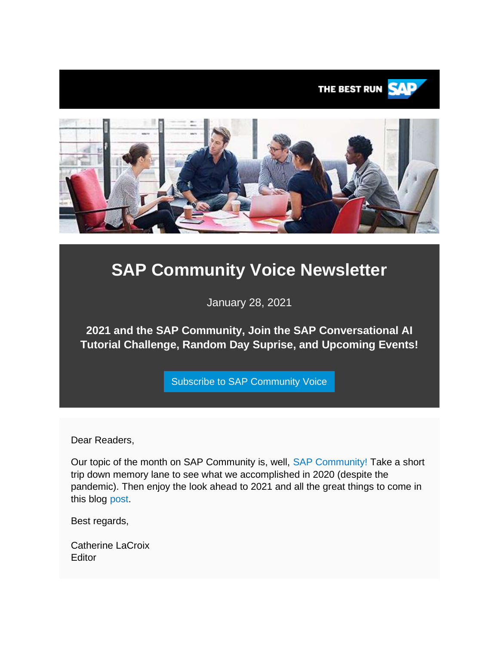

# **SAP Community Voice Newsletter**

January 28, 2021

**2021 and the SAP Community, Join the SAP Conversational AI Tutorial Challenge, Random Day Suprise, and Upcoming Events!**

[Subscribe to SAP Community Voice](https://s4cloudae36f1aac.hana.ondemand.com/data-buffer/sap/public/cuan/link/100/8CEF4E6AE38B207BFDE6AB865758F4775B7D8195?_V_=2&_K11_=F4CBD00263943DF4913D9C335B9A1E219A1FE790&_L54AD1F204_=c2NlbmFyaW89TUxDUEcmdGVuYW50PW15MzAwNzIzLnM0aGFuYS5vbmRlbWFuZC5jb20mdGFyZ2V0PWh0dHBzOi8vd3d3LnNhcC5jb20vY21wL25sL3NhcC1jb21tdW5pdHktdm9pY2UvaW5kZXguaHRtbD9zb3VyY2U9ZW1haWwtZy1jb21tdW5pdHktbmV3c2xldHRlci1KQU4yMSZzYXAtb3V0Ym91bmQtaWQ9OENFRjRFNkFFMzhCMjA3QkZERTZBQjg2NTc1OEY0Nzc1QjdEODE5NSZzbWNfY2FtcGFpZ25faWQ9MDAwMDAxNDcwMSZzb3VyY2U9ZW1haWwtc21j&_K13_=241&_K14_=b3e2a4a77d64e6a529f0e88f2239cdf39333fb246624de7caba36aea89c8c0dd)

Dear Readers,

Our topic of the month on SAP Community is, well, [SAP Community!](https://s4cloudae36f1aac.hana.ondemand.com/data-buffer/sap/public/cuan/link/100/8CEF4E6AE38B207BFDE6AB865758F4775B7D8195?_V_=2&_K11_=7C3AFA2303D42881946F5D2C950D0DA458B3F65B&_L54AD1F204_=c2NlbmFyaW89TUxDUEcmdGVuYW50PW15MzAwNzIzLnM0aGFuYS5vbmRlbWFuZC5jb20mdGFyZ2V0PWh0dHBzOi8vY29tbXVuaXR5LnNhcC5jb20vP3NvdXJjZT1lbWFpbC1nLWNvbW11bml0eS1uZXdzbGV0dGVyLUpBTjIxJnNhcC1vdXRib3VuZC1pZD04Q0VGNEU2QUUzOEIyMDdCRkRFNkFCODY1NzU4RjQ3NzVCN0Q4MTk1JnNtY19jYW1wYWlnbl9pZD0wMDAwMDE0NzAxJnNvdXJjZT1lbWFpbC1zbWM&_K13_=241&_K14_=05b4a348beeafc7131964f16c9f010ca11310fb830065291d76e002b543f2235) Take a short trip down memory lane to see what we accomplished in 2020 (despite the pandemic). Then enjoy the look ahead to 2021 and all the great things to come in this blog [post.](https://s4cloudae36f1aac.hana.ondemand.com/data-buffer/sap/public/cuan/link/100/8CEF4E6AE38B207BFDE6AB865758F4775B7D8195?_V_=2&_K11_=857E5ECD11496E085A164AF23AF5790827BCFDA8&_L54AD1F204_=c2NlbmFyaW89TUxDUEcmdGVuYW50PW15MzAwNzIzLnM0aGFuYS5vbmRlbWFuZC5jb20mdGFyZ2V0PWh0dHBzOi8vYmxvZ3Muc2FwLmNvbS8yMDIxLzAxLzExLzIwMjEtYW5kLXRoZS1zYXAtY29tbXVuaXR5Lz9zb3VyY2U9ZW1haWwtZy1jb21tdW5pdHktbmV3c2xldHRlci1KQU4yMSZzYXAtb3V0Ym91bmQtaWQ9OENFRjRFNkFFMzhCMjA3QkZERTZBQjg2NTc1OEY0Nzc1QjdEODE5NSZzbWNfY2FtcGFpZ25faWQ9MDAwMDAxNDcwMSZzb3VyY2U9ZW1haWwtc21j&_K13_=241&_K14_=858d5354e9c5f55c0d5b0481435dea1404fb988a7abae81d925d800d84965f34)

Best regards,

Catherine LaCroix **Editor**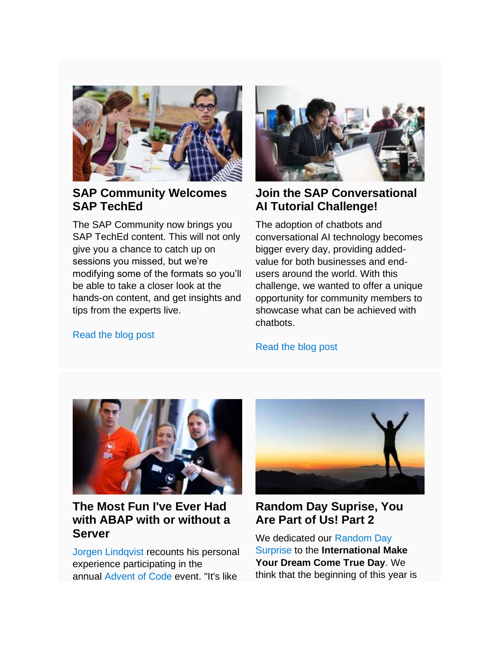

### **SAP Community Welcomes SAP TechEd**

The SAP Community now brings you SAP TechEd content. This will not only give you a chance to catch up on sessions you missed, but we're modifying some of the formats so you'll be able to take a closer look at the hands-on content, and get insights and tips from the experts live.

### [Read the blog post](https://s4cloudae36f1aac.hana.ondemand.com/data-buffer/sap/public/cuan/link/100/8CEF4E6AE38B207BFDE6AB865758F4775B7D8195?_V_=2&_K11_=8AB2F500ABD4B5986684589EC4CA94149F70BE92&_L54AD1F204_=c2NlbmFyaW89TUxDUEcmdGVuYW50PW15MzAwNzIzLnM0aGFuYS5vbmRlbWFuZC5jb20mdGFyZ2V0PWh0dHBzOi8vYmxvZ3Muc2FwLmNvbS8yMDIxLzAxLzIxL3NhcC1jb21tdW5pdHktd2VsY29tZXMtc2FwLXRlY2hlZC8vP3NvdXJjZT1lbWFpbC1nLWNvbW11bml0eS1uZXdzbGV0dGVyLUpBTjIxJnNhcC1vdXRib3VuZC1pZD04Q0VGNEU2QUUzOEIyMDdCRkRFNkFCODY1NzU4RjQ3NzVCN0Q4MTk1JnNtY19jYW1wYWlnbl9pZD0wMDAwMDE0NzAxJnNvdXJjZT1lbWFpbC1zbWM&_K13_=241&_K14_=68b63c7825f235c8b5250ee48f7c1d51f42968b4f2517a5a2bd756bcae4e8cde)



### **Join the SAP Conversational AI Tutorial Challenge!**

The adoption of chatbots and conversational AI technology becomes bigger every day, providing addedvalue for both businesses and endusers around the world. With this challenge, we wanted to offer a unique opportunity for community members to showcase what can be achieved with chatbots.

### [Read the blog post](https://s4cloudae36f1aac.hana.ondemand.com/data-buffer/sap/public/cuan/link/100/8CEF4E6AE38B207BFDE6AB865758F4775B7D8195?_V_=2&_K11_=26EF5A0C6DFC1495A45BA3AB82DF9C50F7A52E34&_L54AD1F204_=c2NlbmFyaW89TUxDUEcmdGVuYW50PW15MzAwNzIzLnM0aGFuYS5vbmRlbWFuZC5jb20mdGFyZ2V0PWh0dHBzOi8vYmxvZ3Muc2FwLmNvbS8yMDIxLzAxLzE4L3NhcC1jb252ZXJzYXRpb25hbC1haS10dXRvcmlhbC1jaGFsbGVuZ2UtMjAyMS1zdWJtaXNzaW9ucy1vcGVuLy8/c291cmNlPWVtYWlsLWctY29tbXVuaXR5LW5ld3NsZXR0ZXItSkFOMjEmc2FwLW91dGJvdW5kLWlkPThDRUY0RTZBRTM4QjIwN0JGREU2QUI4NjU3NThGNDc3NUI3RDgxOTUmc21jX2NhbXBhaWduX2lkPTAwMDAwMTQ3MDEmc291cmNlPWVtYWlsLXNtYw&_K13_=241&_K14_=888c0b5b66f2b98bbcc216534255cf4a619fbf4ce2efd6ee9d7c08749d06e21d)



### **The Most Fun I've Ever Had with ABAP with or without a Server**

[Jorgen Lindqvist](https://s4cloudae36f1aac.hana.ondemand.com/data-buffer/sap/public/cuan/link/100/8CEF4E6AE38B207BFDE6AB865758F4775B7D8195?_V_=2&_K11_=AD75D83D6DFEFFBFBAC5C2A8CDD40E97C8904DF6&_L54AD1F204_=c2NlbmFyaW89TUxDUEcmdGVuYW50PW15MzAwNzIzLnM0aGFuYS5vbmRlbWFuZC5jb20mdGFyZ2V0PWh0dHBzOi8vcGVvcGxlLnNhcC5jb20vam9yZ2VuX2xpbmRxdmlzdDQxP3NvdXJjZT1lbWFpbC1nLWNvbW11bml0eS1uZXdzbGV0dGVyLUpBTjIxJnNhcC1vdXRib3VuZC1pZD04Q0VGNEU2QUUzOEIyMDdCRkRFNkFCODY1NzU4RjQ3NzVCN0Q4MTk1JnNtY19jYW1wYWlnbl9pZD0wMDAwMDE0NzAxJnNvdXJjZT1lbWFpbC1zbWM&_K13_=241&_K14_=c9c4ca81f8c320b0c6cc6431389f21edd3c3fd52a0e36897f3acb9471eb5d621) recounts his personal experience participating in the annual [Advent of Code](https://s4cloudae36f1aac.hana.ondemand.com/data-buffer/sap/public/cuan/link/100/8CEF4E6AE38B207BFDE6AB865758F4775B7D8195?_V_=2&_K11_=D892A61F0BEA2AF7F558F2A96C396DBAB321714A&_L54AD1F204_=c2NlbmFyaW89TUxDUEcmdGVuYW50PW15MzAwNzIzLnM0aGFuYS5vbmRlbWFuZC5jb20mdGFyZ2V0PWh0dHBzOi8vYWR2ZW50b2Zjb2RlLmNvbS8/c291cmNlPWVtYWlsLWctY29tbXVuaXR5LW5ld3NsZXR0ZXItSkFOMjEmc2FwLW91dGJvdW5kLWlkPThDRUY0RTZBRTM4QjIwN0JGREU2QUI4NjU3NThGNDc3NUI3RDgxOTUmc21jX2NhbXBhaWduX2lkPTAwMDAwMTQ3MDEmc291cmNlPWVtYWlsLXNtYw&_K13_=241&_K14_=6c43e92db217c9ef4cb1cf33a45b95366a0f123e7fbd2f6419682e7987d6bfc0) event. "It's like



### **Random Day Suprise, You Are Part of Us! Part 2**

We dedicated our [Random Day](https://s4cloudae36f1aac.hana.ondemand.com/data-buffer/sap/public/cuan/link/100/8CEF4E6AE38B207BFDE6AB865758F4775B7D8195?_V_=2&_K11_=1B5D8AF0739F990D54A9687F07833431C26C501C&_L54AD1F204_=c2NlbmFyaW89TUxDUEcmdGVuYW50PW15MzAwNzIzLnM0aGFuYS5vbmRlbWFuZC5jb20mdGFyZ2V0PWh0dHBzOi8vY29tbXVuaXR5LnNhcC5jb20vcmVzb3VyY2VzL21pc3Npb25zLWJhZGdlcz9zb3VyY2U9ZW1haWwtZy1jb21tdW5pdHktbmV3c2xldHRlci1KQU4yMSZzYXAtb3V0Ym91bmQtaWQ9OENFRjRFNkFFMzhCMjA3QkZERTZBQjg2NTc1OEY0Nzc1QjdEODE5NSZzbWNfY2FtcGFpZ25faWQ9MDAwMDAxNDcwMSZzb3VyY2U9ZW1haWwtc21j&_K13_=241&_K14_=86b068e25d18271a2260069a997befbd42969d29e372f8159a226a021c075873)  [Surprise](https://s4cloudae36f1aac.hana.ondemand.com/data-buffer/sap/public/cuan/link/100/8CEF4E6AE38B207BFDE6AB865758F4775B7D8195?_V_=2&_K11_=1B5D8AF0739F990D54A9687F07833431C26C501C&_L54AD1F204_=c2NlbmFyaW89TUxDUEcmdGVuYW50PW15MzAwNzIzLnM0aGFuYS5vbmRlbWFuZC5jb20mdGFyZ2V0PWh0dHBzOi8vY29tbXVuaXR5LnNhcC5jb20vcmVzb3VyY2VzL21pc3Npb25zLWJhZGdlcz9zb3VyY2U9ZW1haWwtZy1jb21tdW5pdHktbmV3c2xldHRlci1KQU4yMSZzYXAtb3V0Ym91bmQtaWQ9OENFRjRFNkFFMzhCMjA3QkZERTZBQjg2NTc1OEY0Nzc1QjdEODE5NSZzbWNfY2FtcGFpZ25faWQ9MDAwMDAxNDcwMSZzb3VyY2U9ZW1haWwtc21j&_K13_=241&_K14_=86b068e25d18271a2260069a997befbd42969d29e372f8159a226a021c075873) to the **International Make Your Dream Come True Day**. We think that the beginning of this year is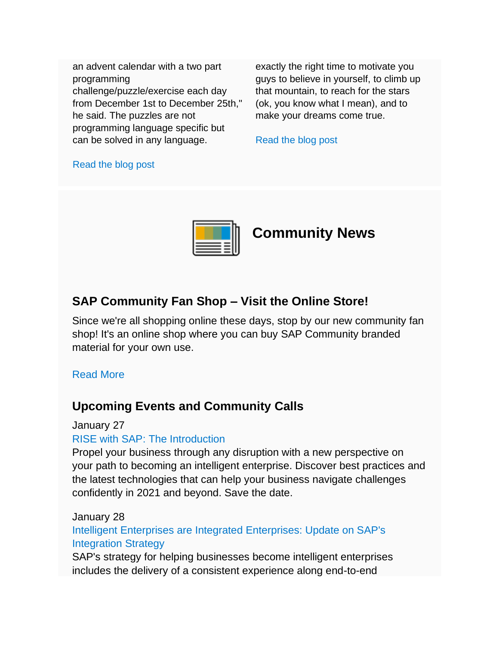an advent calendar with a two part programming challenge/puzzle/exercise each day from December 1st to December 25th," he said. The puzzles are not programming language specific but can be solved in any language.

exactly the right time to motivate you guys to believe in yourself, to climb up that mountain, to reach for the stars (ok, you know what I mean), and to make your dreams come true.

[Read the blog post](https://s4cloudae36f1aac.hana.ondemand.com/data-buffer/sap/public/cuan/link/100/8CEF4E6AE38B207BFDE6AB865758F4775B7D8195?_V_=2&_K11_=D691506003CBD846FE8AA932EAEFBF10F1AFE4B1&_L54AD1F204_=c2NlbmFyaW89TUxDUEcmdGVuYW50PW15MzAwNzIzLnM0aGFuYS5vbmRlbWFuZC5jb20mdGFyZ2V0PWh0dHBzOi8vYmxvZ3Muc2FwLmNvbS8yMDIxLzAxLzE5L3JhbmRvbS1kYXktc3VycHJpc2UteW91LWFyZS1wYXJ0LW9mLXVzLXBhcnQtMi8vP3NvdXJjZT1lbWFpbC1nLWNvbW11bml0eS1uZXdzbGV0dGVyLUpBTjIxJnNhcC1vdXRib3VuZC1pZD04Q0VGNEU2QUUzOEIyMDdCRkRFNkFCODY1NzU4RjQ3NzVCN0Q4MTk1JnNtY19jYW1wYWlnbl9pZD0wMDAwMDE0NzAxJnNvdXJjZT1lbWFpbC1zbWM&_K13_=241&_K14_=55b54afbabdc22291a9e55815348e3014acc29c4cd4bf3139c53bfbc89dfa001)

#### [Read the blog post](https://s4cloudae36f1aac.hana.ondemand.com/data-buffer/sap/public/cuan/link/100/8CEF4E6AE38B207BFDE6AB865758F4775B7D8195?_V_=2&_K11_=E46CF91D0913B1746D882E9525E6C8BB6E0C2C9E&_L54AD1F204_=c2NlbmFyaW89TUxDUEcmdGVuYW50PW15MzAwNzIzLnM0aGFuYS5vbmRlbWFuZC5jb20mdGFyZ2V0PWh0dHBzOi8vYmxvZ3Muc2FwLmNvbS8yMDIxLzAxLzAyL3RoZS1tb3N0LWZ1bi1pdmUtZXZlci1oYWQtd2l0aC1hYmFwLXdpdGgtb3Itd2l0aG91dC1hLXNlcnZlci8vP3NvdXJjZT1lbWFpbC1nLWNvbW11bml0eS1uZXdzbGV0dGVyLUpBTjIxJnNhcC1vdXRib3VuZC1pZD04Q0VGNEU2QUUzOEIyMDdCRkRFNkFCODY1NzU4RjQ3NzVCN0Q4MTk1JnNtY19jYW1wYWlnbl9pZD0wMDAwMDE0NzAxJnNvdXJjZT1lbWFpbC1zbWM&_K13_=241&_K14_=e7610cb36b87071f8aae434cd857e0752ede0c65ae94988fef3475661bd2ccb3)



## **Community News**

### **SAP Community Fan Shop – Visit the Online Store!**

Since we're all shopping online these days, stop by our new community fan shop! It's an online shop where you can buy SAP Community branded material for your own use.

#### [Read More](https://s4cloudae36f1aac.hana.ondemand.com/data-buffer/sap/public/cuan/link/100/8CEF4E6AE38B207BFDE6AB865758F4775B7D8195?_V_=2&_K11_=0841D8F0EA9F27E165E60A5357A697C557042E29&_L54AD1F204_=c2NlbmFyaW89TUxDUEcmdGVuYW50PW15MzAwNzIzLnM0aGFuYS5vbmRlbWFuZC5jb20mdGFyZ2V0PWh0dHBzOi8vZW1lYS5leHQuc2FwbWVyY2hhbmRpc2UuY29tL2NvLWJyYW5kaW5nL3NhcC1jb21tdW5pdHkuaHRtbC8vP3NvdXJjZT1lbWFpbC1nLWNvbW11bml0eS1uZXdzbGV0dGVyLUpBTjIxJnNhcC1vdXRib3VuZC1pZD04Q0VGNEU2QUUzOEIyMDdCRkRFNkFCODY1NzU4RjQ3NzVCN0Q4MTk1JnNtY19jYW1wYWlnbl9pZD0wMDAwMDE0NzAxJnNvdXJjZT1lbWFpbC1zbWM&_K13_=241&_K14_=39d66ec5febe74d58bfdc86ed2241d483089294e7b66ef599e0bad3812946bf2)

### **Upcoming Events and Community Calls**

#### January 27

#### [RISE with SAP: The Introduction](https://s4cloudae36f1aac.hana.ondemand.com/data-buffer/sap/public/cuan/link/100/8CEF4E6AE38B207BFDE6AB865758F4775B7D8195?_V_=2&_K11_=FEFCCF8189707C38C1FF50C438A0BD035137500C&_L54AD1F204_=c2NlbmFyaW89TUxDUEcmdGVuYW50PW15MzAwNzIzLnM0aGFuYS5vbmRlbWFuZC5jb20mdGFyZ2V0PWh0dHBzOi8vd3d3LnNhcC5jb20vYWJvdXQvZXZlbnRzL3Jpc2Utd2l0aC1zYXAuaHRtbD9zb3VyY2U9ZW1haWwtZy1jb21tdW5pdHktbmV3c2xldHRlci1KQU4yMSZzYXAtb3V0Ym91bmQtaWQ9OENFRjRFNkFFMzhCMjA3QkZERTZBQjg2NTc1OEY0Nzc1QjdEODE5NSZzbWNfY2FtcGFpZ25faWQ9MDAwMDAxNDcwMSZzb3VyY2U9ZW1haWwtc21j&_K13_=241&_K14_=61d63978d20b4a983437c394f4d85c3b3da0a6ee27ebf696e99dda7d5caa39d1)

Propel your business through any disruption with a new perspective on your path to becoming an intelligent enterprise. Discover best practices and the latest technologies that can help your business navigate challenges confidently in 2021 and beyond. Save the date.

#### January 28

[Intelligent Enterprises are Integrated Enterprises: Update on SAP's](https://s4cloudae36f1aac.hana.ondemand.com/data-buffer/sap/public/cuan/link/100/8CEF4E6AE38B207BFDE6AB865758F4775B7D8195?_V_=2&_K11_=382FD4FA9D89E75C37D9A2CE2859E9D1E315A9EA&_L54AD1F204_=c2NlbmFyaW89TUxDUEcmdGVuYW50PW15MzAwNzIzLnM0aGFuYS5vbmRlbWFuZC5jb20mdGFyZ2V0PWh0dHBzOi8vc2FwLXNlLnpvb20udXMvd2ViaW5hci9yZWdpc3Rlci9XTl8ycWhDNWFuX1NZeWZsNUVhVjI0a1dBP3NvdXJjZT1lbWFpbC1nLWNvbW11bml0eS1uZXdzbGV0dGVyLUpBTjIxJnNhcC1vdXRib3VuZC1pZD04Q0VGNEU2QUUzOEIyMDdCRkRFNkFCODY1NzU4RjQ3NzVCN0Q4MTk1JnNtY19jYW1wYWlnbl9pZD0wMDAwMDE0NzAxJnNvdXJjZT1lbWFpbC1zbWM&_K13_=241&_K14_=382a7f81f9c178a2169d231a9f200ae011c00e5337aebf1d6e666c94a41b2700)  [Integration Strategy](https://s4cloudae36f1aac.hana.ondemand.com/data-buffer/sap/public/cuan/link/100/8CEF4E6AE38B207BFDE6AB865758F4775B7D8195?_V_=2&_K11_=382FD4FA9D89E75C37D9A2CE2859E9D1E315A9EA&_L54AD1F204_=c2NlbmFyaW89TUxDUEcmdGVuYW50PW15MzAwNzIzLnM0aGFuYS5vbmRlbWFuZC5jb20mdGFyZ2V0PWh0dHBzOi8vc2FwLXNlLnpvb20udXMvd2ViaW5hci9yZWdpc3Rlci9XTl8ycWhDNWFuX1NZeWZsNUVhVjI0a1dBP3NvdXJjZT1lbWFpbC1nLWNvbW11bml0eS1uZXdzbGV0dGVyLUpBTjIxJnNhcC1vdXRib3VuZC1pZD04Q0VGNEU2QUUzOEIyMDdCRkRFNkFCODY1NzU4RjQ3NzVCN0Q4MTk1JnNtY19jYW1wYWlnbl9pZD0wMDAwMDE0NzAxJnNvdXJjZT1lbWFpbC1zbWM&_K13_=241&_K14_=382a7f81f9c178a2169d231a9f200ae011c00e5337aebf1d6e666c94a41b2700)

SAP's strategy for helping businesses become intelligent enterprises includes the delivery of a consistent experience along end-to-end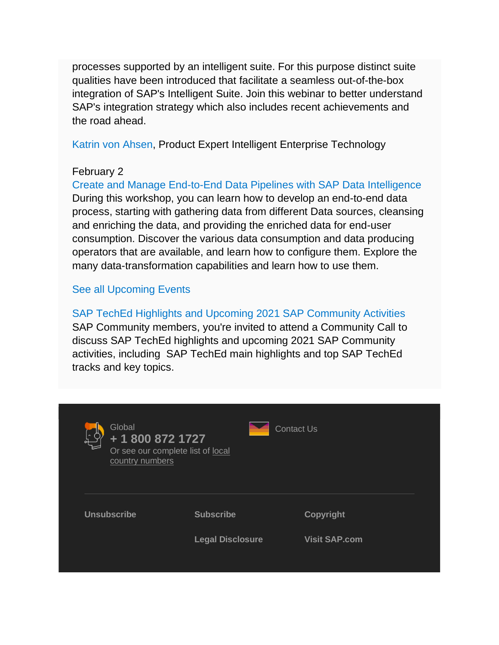processes supported by an intelligent suite. For this purpose distinct suite qualities have been introduced that facilitate a seamless out-of-the-box integration of SAP's Intelligent Suite. Join this webinar to better understand SAP's integration strategy which also includes recent achievements and the road ahead.

[Katrin von Ahsen,](https://s4cloudae36f1aac.hana.ondemand.com/data-buffer/sap/public/cuan/link/100/8CEF4E6AE38B207BFDE6AB865758F4775B7D8195?_V_=2&_K11_=52F9BCCB11ACEC15C906587AFE4B399700796BAD&_L54AD1F204_=c2NlbmFyaW89TUxDUEcmdGVuYW50PW15MzAwNzIzLnM0aGFuYS5vbmRlbWFuZC5jb20mdGFyZ2V0PWh0dHBzOi8vcGVvcGxlLnNhcC5jb20va2F0cmluLmFoc2VuP3NvdXJjZT1lbWFpbC1nLWNvbW11bml0eS1uZXdzbGV0dGVyLUpBTjIxJnNhcC1vdXRib3VuZC1pZD04Q0VGNEU2QUUzOEIyMDdCRkRFNkFCODY1NzU4RjQ3NzVCN0Q4MTk1JnNtY19jYW1wYWlnbl9pZD0wMDAwMDE0NzAxJnNvdXJjZT1lbWFpbC1zbWM&_K13_=241&_K14_=f9486fa4050842de205c5d2c11b774875171b7e79f4c85538457ddb4b7b4ed52) Product Expert Intelligent Enterprise Technology

### February 2

[Create and Manage End-to-End Data Pipelines with SAP Data Intelligence](https://s4cloudae36f1aac.hana.ondemand.com/data-buffer/sap/public/cuan/link/100/8CEF4E6AE38B207BFDE6AB865758F4775B7D8195?_V_=2&_K11_=A90CBFC5D77A7687A8A5E26C3138BFD7EE8B65D7&_L54AD1F204_=c2NlbmFyaW89TUxDUEcmdGVuYW50PW15MzAwNzIzLnM0aGFuYS5vbmRlbWFuZC5jb20mdGFyZ2V0PWh0dHBzOi8vc2FwLXNlLnpvb20udXMvbWVldGluZy9yZWdpc3Rlci90SmNxZC1tdnJEOHRFdFlRSlhMTEZybkVvMlBVRXpNdnNQMm0/c291cmNlPWVtYWlsLWctY29tbXVuaXR5LW5ld3NsZXR0ZXItSkFOMjEmc2FwLW91dGJvdW5kLWlkPThDRUY0RTZBRTM4QjIwN0JGREU2QUI4NjU3NThGNDc3NUI3RDgxOTUmc21jX2NhbXBhaWduX2lkPTAwMDAwMTQ3MDEmc291cmNlPWVtYWlsLXNtYw&_K13_=241&_K14_=4762734c9d76a7dc56499cf1d6c040d786f2fadc9858b9396b455aa1c9df9ec0) During this workshop, you can learn how to develop an end-to-end data process, starting with gathering data from different Data sources, cleansing and enriching the data, and providing the enriched data for end-user consumption. Discover the various data consumption and data producing operators that are available, and learn how to configure them. Explore the many data-transformation capabilities and learn how to use them.

### [See all Upcoming Events](https://s4cloudae36f1aac.hana.ondemand.com/data-buffer/sap/public/cuan/link/100/8CEF4E6AE38B207BFDE6AB865758F4775B7D8195?_V_=2&_K11_=AF41D361C3B3743885B68BF33866632AB7E4BE00&_L54AD1F204_=c2NlbmFyaW89TUxDUEcmdGVuYW50PW15MzAwNzIzLnM0aGFuYS5vbmRlbWFuZC5jb20mdGFyZ2V0PWh0dHBzOi8vY29tbXVuaXR5LnNhcC5jb20vZXZlbnRzLz9zb3VyY2U9ZW1haWwtZy1jb21tdW5pdHktbmV3c2xldHRlci1KQU4yMSZzYXAtb3V0Ym91bmQtaWQ9OENFRjRFNkFFMzhCMjA3QkZERTZBQjg2NTc1OEY0Nzc1QjdEODE5NSZzbWNfY2FtcGFpZ25faWQ9MDAwMDAxNDcwMSZzb3VyY2U9ZW1haWwtc21j&_K13_=241&_K14_=2d24c549a1be791a2447c9b5ff5a5cb0985d736799e4077ac83e93a43efb627d)

[SAP TechEd Highlights and Upcoming 2021 SAP Community Activities](https://s4cloudae36f1aac.hana.ondemand.com/data-buffer/sap/public/cuan/link/100/8CEF4E6AE38B207BFDE6AB865758F4775B7D8195?_V_=2&_K11_=00E1B2FF4105F3B1C77FFC134F090838A96E9CD0&_L54AD1F204_=c2NlbmFyaW89TUxDUEcmdGVuYW50PW15MzAwNzIzLnM0aGFuYS5vbmRlbWFuZC5jb20mdGFyZ2V0PWh0dHBzOi8vc2FwLXNlLnpvb20udXMvd2ViaW5hci9yZWdpc3Rlci9XTl85ckFtTjFydFE2V0FobnNOMFg1MDR3P3NvdXJjZT1lbWFpbC1nLWNvbW11bml0eS1uZXdzbGV0dGVyLUpBTjIxJnNhcC1vdXRib3VuZC1pZD04Q0VGNEU2QUUzOEIyMDdCRkRFNkFCODY1NzU4RjQ3NzVCN0Q4MTk1JnNtY19jYW1wYWlnbl9pZD0wMDAwMDE0NzAxJnNvdXJjZT1lbWFpbC1zbWM&_K13_=241&_K14_=17d1855b5250a1a3905f7713b5cd0c6e98f74384c02a2f5573361b06f0b171cb) SAP Community members, you're invited to attend a Community Call to discuss SAP TechEd highlights and upcoming 2021 SAP Community activities, including SAP TechEd main highlights and top SAP TechEd tracks and key topics.

| Global<br>+ 1 800 872 1727<br>country numbers | Or see our complete list of local | Contact Us           |
|-----------------------------------------------|-----------------------------------|----------------------|
| <b>Unsubscribe</b>                            | <b>Subscribe</b>                  | <b>Copyright</b>     |
|                                               | <b>Legal Disclosure</b>           | <b>Visit SAP.com</b> |